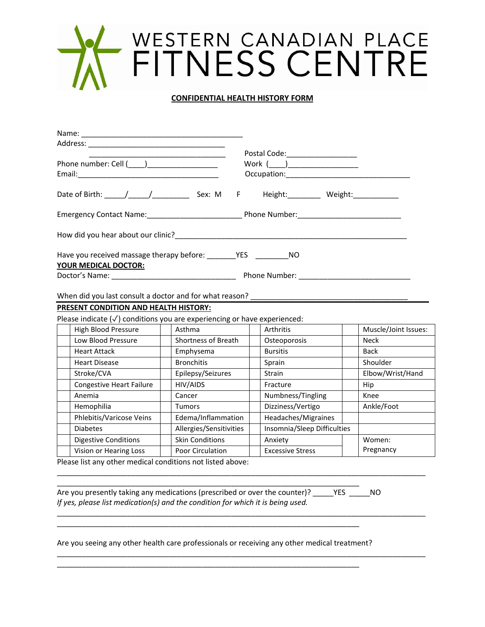## WESTERN CANADIAN PLACE<br>FITNESS CENTRE

## **CONFIDENTIAL HEALTH HISTORY FORM**

|                                                                                                                  | Work (____)____________________             |
|------------------------------------------------------------------------------------------------------------------|---------------------------------------------|
|                                                                                                                  | Occupation: <u>________________________</u> |
| Date of Birth: <u>Andrea</u> Sex: M F Height: Weight:                                                            |                                             |
| Emergency Contact Name: Name and American China Phone Number:                                                    |                                             |
|                                                                                                                  |                                             |
| Have you received massage therapy before: YES MO                                                                 |                                             |
| <b>YOUR MEDICAL DOCTOR:</b>                                                                                      |                                             |
| Doctor's Name: Name: Name and Name and Name and Name and Name and Name and Name and Name and Name and Name and N | Phone Number: <u>___________________</u>    |

When did you last consult a doctor and for what reason?

## **PRESENT CONDITION AND HEALTH HISTORY:**

Please indicate (√) conditions you are experiencing or have experienced:

| High Blood Pressure             | Asthma                     | Arthritis                   | Muscle/Joint Issues: |
|---------------------------------|----------------------------|-----------------------------|----------------------|
| Low Blood Pressure              | <b>Shortness of Breath</b> | Osteoporosis                | <b>Neck</b>          |
| <b>Heart Attack</b>             | Emphysema                  | <b>Bursitis</b>             | <b>Back</b>          |
| <b>Heart Disease</b>            | <b>Bronchitis</b>          | Sprain                      | Shoulder             |
| Stroke/CVA                      | Epilepsy/Seizures          | <b>Strain</b>               | Elbow/Wrist/Hand     |
| <b>Congestive Heart Failure</b> | HIV/AIDS                   | Fracture                    | Hip                  |
| Anemia                          | Cancer                     | Numbness/Tingling           | Knee                 |
| Hemophilia                      | <b>Tumors</b>              | Dizziness/Vertigo           | Ankle/Foot           |
| Phlebitis/Varicose Veins        | Edema/Inflammation         | Headaches/Migraines         |                      |
| <b>Diabetes</b>                 | Allergies/Sensitivities    | Insomnia/Sleep Difficulties |                      |
| <b>Digestive Conditions</b>     | <b>Skin Conditions</b>     | Anxiety                     | Women:               |
| Vision or Hearing Loss          | <b>Poor Circulation</b>    | <b>Excessive Stress</b>     | Pregnancy            |

\_\_\_\_\_\_\_\_\_\_\_\_\_\_\_\_\_\_\_\_\_\_\_\_\_\_\_\_\_\_\_\_\_\_\_\_\_\_\_\_\_\_\_\_\_\_\_\_\_\_\_\_\_\_\_\_\_\_\_\_\_\_\_\_\_\_\_\_\_\_\_\_\_\_\_\_\_\_\_\_\_\_\_\_\_\_\_\_\_

\_\_\_\_\_\_\_\_\_\_\_\_\_\_\_\_\_\_\_\_\_\_\_\_\_\_\_\_\_\_\_\_\_\_\_\_\_\_\_\_\_\_\_\_\_\_\_\_\_\_\_\_\_\_\_\_\_\_\_\_\_\_\_\_\_\_\_\_\_\_\_\_\_\_\_\_\_\_\_\_\_\_\_\_\_\_\_\_\_

\_\_\_\_\_\_\_\_\_\_\_\_\_\_\_\_\_\_\_\_\_\_\_\_\_\_\_\_\_\_\_\_\_\_\_\_\_\_\_\_\_\_\_\_\_\_\_\_\_\_\_\_\_\_\_\_\_\_\_\_\_\_\_\_\_\_\_\_\_\_\_\_\_\_\_\_\_\_\_\_\_\_\_\_\_\_\_\_\_

Please list any other medical conditions not listed above:

Are you presently taking any medications (prescribed or over the counter)? \_\_\_\_\_YES \_\_\_\_\_NO *If yes, please list medication(s) and the condition for which it is being used.*

\_\_\_\_\_\_\_\_\_\_\_\_\_\_\_\_\_\_\_\_\_\_\_\_\_\_\_\_\_\_\_\_\_\_\_\_\_\_\_\_\_\_\_\_\_\_\_\_\_\_\_\_\_\_\_\_\_\_\_\_\_\_\_\_\_\_\_\_\_\_\_\_\_

\_\_\_\_\_\_\_\_\_\_\_\_\_\_\_\_\_\_\_\_\_\_\_\_\_\_\_\_\_\_\_\_\_\_\_\_\_\_\_\_\_\_\_\_\_\_\_\_\_\_\_\_\_\_\_\_\_\_\_\_\_\_\_\_\_\_\_\_\_\_\_\_\_

\_\_\_\_\_\_\_\_\_\_\_\_\_\_\_\_\_\_\_\_\_\_\_\_\_\_\_\_\_\_\_\_\_\_\_\_\_\_\_\_\_\_\_\_\_\_\_\_\_\_\_\_\_\_\_\_\_\_\_\_\_\_\_\_\_\_\_\_\_\_\_\_\_

Are you seeing any other health care professionals or receiving any other medical treatment?